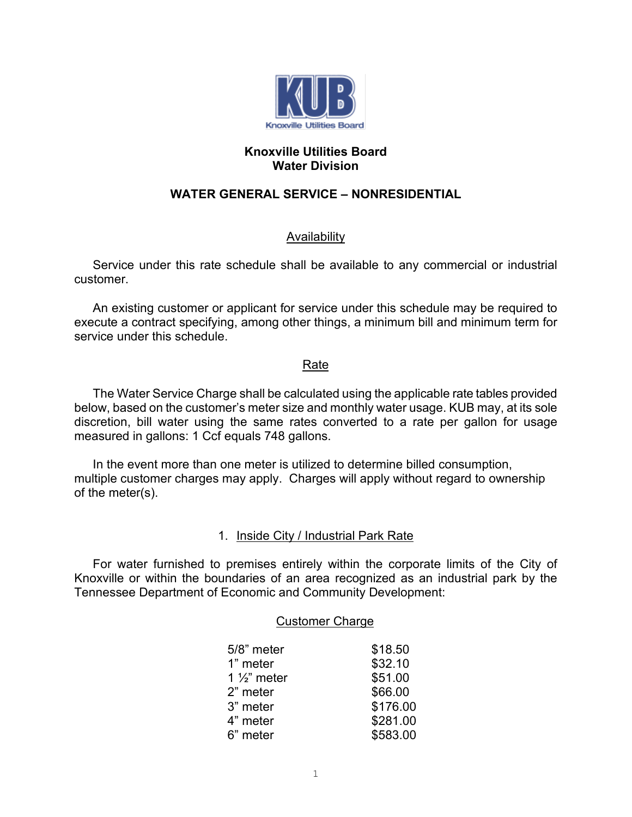

### **Knoxville Utilities Board Water Division**

# **WATER GENERAL SERVICE – NONRESIDENTIAL**

## **Availability**

Service under this rate schedule shall be available to any commercial or industrial customer.

An existing customer or applicant for service under this schedule may be required to execute a contract specifying, among other things, a minimum bill and minimum term for service under this schedule

#### Rate

The Water Service Charge shall be calculated using the applicable rate tables provided below, based on the customer's meter size and monthly water usage. KUB may, at its sole discretion, bill water using the same rates converted to a rate per gallon for usage measured in gallons: 1 Ccf equals 748 gallons.

In the event more than one meter is utilized to determine billed consumption, multiple customer charges may apply. Charges will apply without regard to ownership of the meter(s).

### 1. Inside City / Industrial Park Rate

For water furnished to premises entirely within the corporate limits of the City of Knoxville or within the boundaries of an area recognized as an industrial park by the Tennessee Department of Economic and Community Development:

#### Customer Charge

| 5/8" meter              | \$18.50  |
|-------------------------|----------|
| 1" meter                | \$32.10  |
| 1 $\frac{1}{2}$ " meter | \$51.00  |
| 2" meter                | \$66.00  |
| 3" meter                | \$176.00 |
| 4" meter                | \$281.00 |
| 6" meter                | \$583.00 |
|                         |          |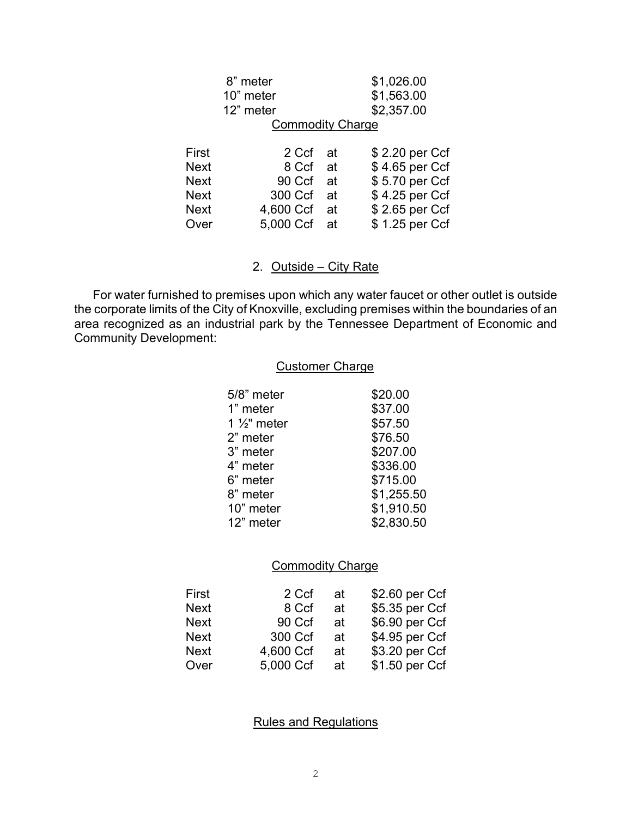|             | 8" meter                |     | \$1,026.00     |
|-------------|-------------------------|-----|----------------|
|             | 10" meter               |     | \$1,563.00     |
|             | 12" meter               |     | \$2,357.00     |
|             | <b>Commodity Charge</b> |     |                |
|             |                         |     |                |
| First       | 2 Ccf                   | -at | \$2.20 per Ccf |
| Next        | 8 Ccf at                |     | \$4.65 per Ccf |
| <b>Next</b> | 90 Ccf                  | at  | \$5.70 per Ccf |
| Next        | 300 Ccf                 | at  | \$4.25 per Ccf |
| <b>Next</b> | 4,600 Ccf at            |     | \$2.65 per Ccf |
| Over        | 5,000 Ccf at            |     | \$1.25 per Ccf |
|             |                         |     |                |

2. Outside – City Rate

For water furnished to premises upon which any water faucet or other outlet is outside the corporate limits of the City of Knoxville, excluding premises within the boundaries of an area recognized as an industrial park by the Tennessee Department of Economic and Community Development:

#### Customer Charge

| 5/8" meter              | \$20.00    |
|-------------------------|------------|
| 1" meter                | \$37.00    |
| 1 $\frac{1}{2}$ " meter | \$57.50    |
| 2" meter                | \$76.50    |
| 3" meter                | \$207.00   |
| 4" meter                | \$336.00   |
| 6" meter                | \$715.00   |
| 8" meter                | \$1,255.50 |
| 10" meter               | \$1,910.50 |
| 12" meter               | \$2,830.50 |
|                         |            |

## **Commodity Charge**

| First       | 2 Ccf     | аt | \$2.60 per Ccf |
|-------------|-----------|----|----------------|
| <b>Next</b> | 8 Ccf     | аt | \$5.35 per Ccf |
| <b>Next</b> | 90 Ccf    | аt | \$6.90 per Ccf |
| <b>Next</b> | 300 Ccf   | at | \$4.95 per Ccf |
| <b>Next</b> | 4,600 Ccf | at | \$3.20 per Ccf |
| Over        | 5,000 Ccf | at | \$1.50 per Ccf |

Rules and Regulations